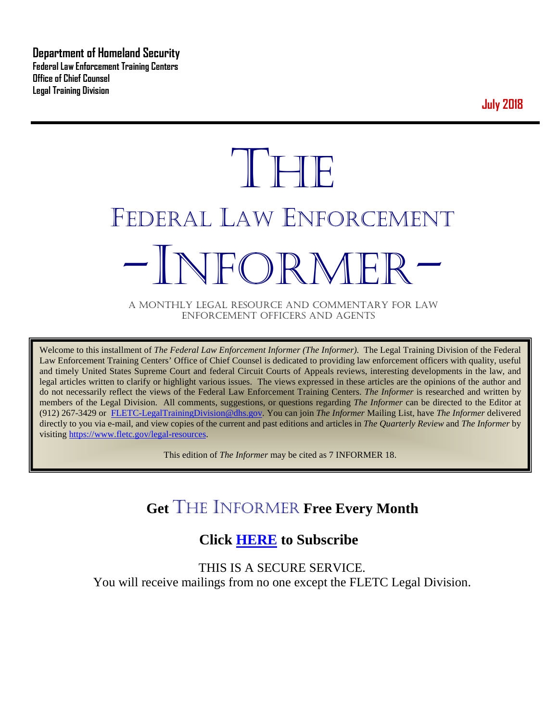**Department of Homeland Security Federal Law Enforcement Training Centers Office of Chief Counsel Legal Training Division** 

**July 2018**

# **THE** FEDERAL LAW ENFORCEMENT -INFORMER- A MONTHLY LEGAL RESOURCE AND COMMENTARY FOR LAW

ENFORCEMENT OFFICERS AND AGENTS

Welcome to this installment of *The Federal Law Enforcement Informer (The Informer).* The Legal Training Division of the Federal Law Enforcement Training Centers' Office of Chief Counsel is dedicated to providing law enforcement officers with quality, useful and timely United States Supreme Court and federal Circuit Courts of Appeals reviews, interesting developments in the law, and legal articles written to clarify or highlight various issues. The views expressed in these articles are the opinions of the author and do not necessarily reflect the views of the Federal Law Enforcement Training Centers. *The Informer* is researched and written by members of the Legal Division. All comments, suggestions, or questions regarding *The Informer* can be directed to the Editor at (912) 267-3429 or [FLETC-LegalTrainingDivision@dhs.gov.](mailto:FLETC-LegalTrainingDivision@dhs.gov) You can join *The Informer* Mailing List, have *The Informer* delivered directly to you via e-mail, and view copies of the current and past editions and articles in *The Quarterly Review* and *The Informer* by visiting [https://www.fletc.gov/legal-resources.](https://www.fletc.gov/legal-resources) 

This edition of *The Informer* may be cited as 7 INFORMER 18.

# **Get** THE INFORMER **Free Every Month**

#### **Click [HERE](https://app.co-sender.com/opt-in/list/7b007eab-378b-4542-807f-44d6de94cb7e) to Subscribe**

THIS IS A SECURE SERVICE. You will receive mailings from no one except the FLETC Legal Division.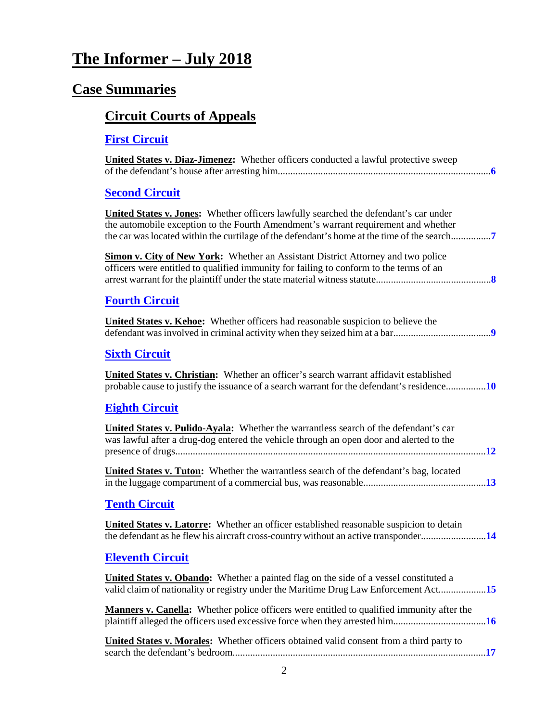# **The Informer – July 2018**

# **Case Summaries**

# **[Circuit Courts of Appeals](#page-5-0)**

| <b>First Circuit</b>                                                                                                                                                                                                                                                             |
|----------------------------------------------------------------------------------------------------------------------------------------------------------------------------------------------------------------------------------------------------------------------------------|
| United States v. Diaz-Jimenez: Whether officers conducted a lawful protective sweep                                                                                                                                                                                              |
| <b>Second Circuit</b>                                                                                                                                                                                                                                                            |
| <b>United States v. Jones:</b> Whether officers lawfully searched the defendant's car under<br>the automobile exception to the Fourth Amendment's warrant requirement and whether<br>the car was located within the curtilage of the defendant's home at the time of the search7 |
| Simon v. City of New York: Whether an Assistant District Attorney and two police<br>officers were entitled to qualified immunity for failing to conform to the terms of an                                                                                                       |
| <b>Fourth Circuit</b>                                                                                                                                                                                                                                                            |
| <b>United States v. Kehoe:</b> Whether officers had reasonable suspicion to believe the                                                                                                                                                                                          |
| <b>Sixth Circuit</b>                                                                                                                                                                                                                                                             |
| <b>United States v. Christian:</b> Whether an officer's search warrant affidavit established<br>probable cause to justify the issuance of a search warrant for the defendant's residence10                                                                                       |
| <b>Eighth Circuit</b>                                                                                                                                                                                                                                                            |
| United States v. Pulido-Ayala: Whether the warrantless search of the defendant's car<br>was lawful after a drug-dog entered the vehicle through an open door and alerted to the                                                                                                  |
| <b>United States v. Tuton:</b> Whether the warrantless search of the defendant's bag, located                                                                                                                                                                                    |
| <b>Tenth Circuit</b>                                                                                                                                                                                                                                                             |
| <b>United States v. Latorre:</b> Whether an officer established reasonable suspicion to detain<br>the defendant as he flew his aircraft cross-country without an active transponder14                                                                                            |
| <b>Eleventh Circuit</b>                                                                                                                                                                                                                                                          |
| <b>United States v. Obando:</b> Whether a painted flag on the side of a vessel constituted a<br>valid claim of nationality or registry under the Maritime Drug Law Enforcement Act15                                                                                             |
| <b>Manners v. Canella:</b> Whether police officers were entitled to qualified immunity after the                                                                                                                                                                                 |

| United States v. Morales: Whether officers obtained valid consent from a third party to |  |
|-----------------------------------------------------------------------------------------|--|
|                                                                                         |  |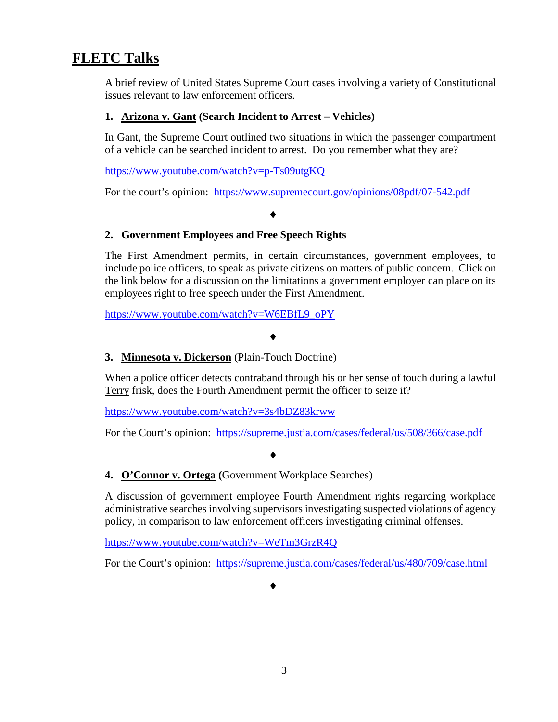#### **FLETC Talks**

A brief review of United States Supreme Court cases involving a variety of Constitutional issues relevant to law enforcement officers.

#### **1. Arizona v. Gant (Search Incident to Arrest – Vehicles)**

In Gant, the Supreme Court outlined two situations in which the passenger compartment of a vehicle can be searched incident to arrest. Do you remember what they are?

<https://www.youtube.com/watch?v=p-Ts09utgKQ>

For the court's opinion: <https://www.supremecourt.gov/opinions/08pdf/07-542.pdf>

#### ♦

#### **2. Government Employees and Free Speech Rights**

The First Amendment permits, in certain circumstances, government employees, to include police officers, to speak as private citizens on matters of public concern. Click on the link below for a discussion on the limitations a government employer can place on its employees right to free speech under the First Amendment.

[https://www.youtube.com/watch?v=W6EBfL9\\_oPY](https://www.youtube.com/watch?v=W6EBfL9_oPY)

#### ♦

#### **3. Minnesota v. Dickerson** (Plain-Touch Doctrine)

When a police officer detects contraband through his or her sense of touch during a lawful Terry frisk, does the Fourth Amendment permit the officer to seize it?

<https://www.youtube.com/watch?v=3s4bDZ83krww>

For the Court's opinion: <https://supreme.justia.com/cases/federal/us/508/366/case.pdf>

#### ♦

#### **4. O'Connor v. Ortega (**Government Workplace Searches)

A discussion of government employee Fourth Amendment rights regarding workplace administrative searches involving supervisors investigating suspected violations of agency policy, in comparison to law enforcement officers investigating criminal offenses.

<https://www.youtube.com/watch?v=WeTm3GrzR4Q>

For the Court's opinion: <https://supreme.justia.com/cases/federal/us/480/709/case.html>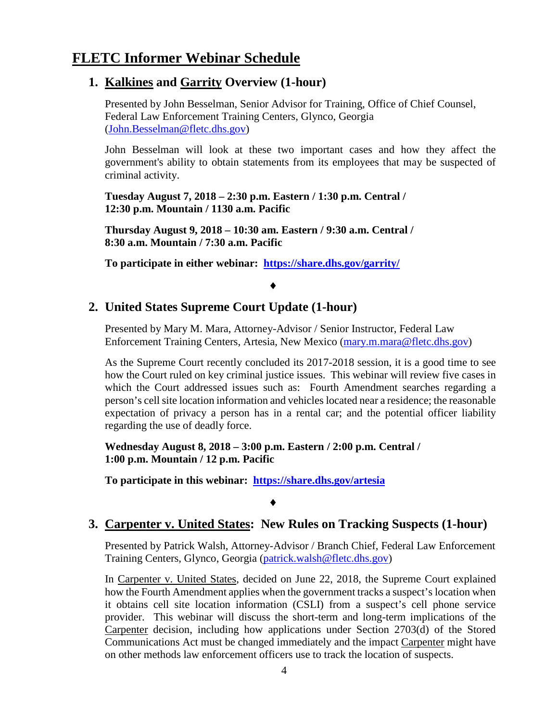#### **FLETC Informer Webinar Schedule**

#### **1. Kalkines and Garrity Overview (1-hour)**

Presented by John Besselman, Senior Advisor for Training, Office of Chief Counsel, Federal Law Enforcement Training Centers, Glynco, Georgia [\(John.Besselman@fletc.dhs.gov\)](mailto:John.Besselman@fletc.dhs.gov)

John Besselman will look at these two important cases and how they affect the government's ability to obtain statements from its employees that may be suspected of criminal activity.

**Tuesday August 7, 2018 – 2:30 p.m. Eastern / 1:30 p.m. Central / 12:30 p.m. Mountain / 1130 a.m. Pacific**

**Thursday August 9, 2018 – 10:30 am. Eastern / 9:30 a.m. Central / 8:30 a.m. Mountain / 7:30 a.m. Pacific**

**To participate in either webinar: <https://share.dhs.gov/garrity/>**

#### ♦

#### **2. United States Supreme Court Update (1-hour)**

Presented by Mary M. Mara, Attorney-Advisor / Senior Instructor, Federal Law Enforcement Training Centers, Artesia, New Mexico [\(mary.m.mara@fletc.dhs.gov\)](mailto:mary.m.mara@fletc.dhs.gov)

As the Supreme Court recently concluded its 2017-2018 session, it is a good time to see how the Court ruled on key criminal justice issues. This webinar will review five cases in which the Court addressed issues such as: Fourth Amendment searches regarding a person's cell site location information and vehicles located near a residence; the reasonable expectation of privacy a person has in a rental car; and the potential officer liability regarding the use of deadly force.

**Wednesday August 8, 2018 – 3:00 p.m. Eastern / 2:00 p.m. Central / 1:00 p.m. Mountain / 12 p.m. Pacific**

**To participate in this webinar: <https://share.dhs.gov/artesia>**

#### ♦

#### **3. Carpenter v. United States: New Rules on Tracking Suspects (1-hour)**

Presented by Patrick Walsh, Attorney-Advisor / Branch Chief, Federal Law Enforcement Training Centers, Glynco, Georgia [\(patrick.walsh@fletc.dhs.gov\)](mailto:patrick.walsh@fletc.dhs.gov)

In Carpenter v. United States, decided on June 22, 2018, the Supreme Court explained how the Fourth Amendment applies when the government tracks a suspect's location when it obtains cell site location information (CSLI) from a suspect's cell phone service provider. This webinar will discuss the short-term and long-term implications of the Carpenter decision, including how applications under Section 2703(d) of the Stored Communications Act must be changed immediately and the impact Carpenter might have on other methods law enforcement officers use to track the location of suspects.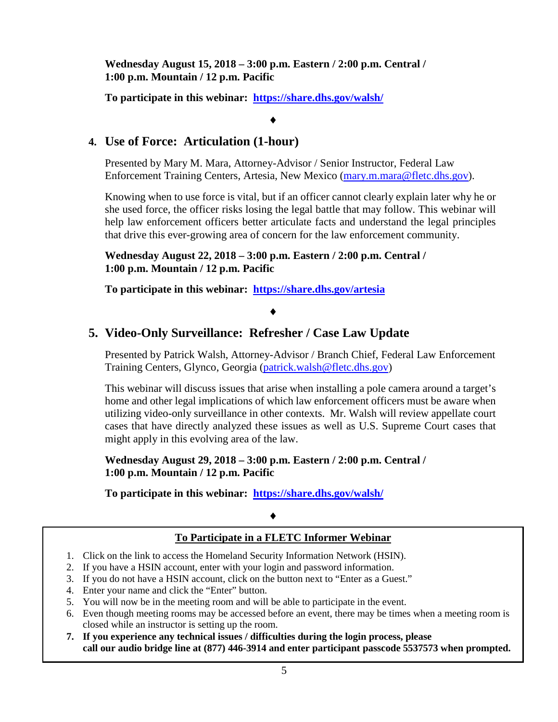**Wednesday August 15, 2018 – 3:00 p.m. Eastern / 2:00 p.m. Central / 1:00 p.m. Mountain / 12 p.m. Pacific**

**To participate in this webinar: <https://share.dhs.gov/walsh/>**

#### ♦

#### **4. Use of Force: Articulation (1-hour)**

Presented by Mary M. Mara, Attorney-Advisor / Senior Instructor, Federal Law Enforcement Training Centers, Artesia, New Mexico [\(mary.m.mara@fletc.dhs.gov\)](mailto:mary.m.mara@fletc.dhs.gov).

Knowing when to use force is vital, but if an officer cannot clearly explain later why he or she used force, the officer risks losing the legal battle that may follow. This webinar will help law enforcement officers better articulate facts and understand the legal principles that drive this ever-growing area of concern for the law enforcement community.

**Wednesday August 22, 2018 – 3:00 p.m. Eastern / 2:00 p.m. Central / 1:00 p.m. Mountain / 12 p.m. Pacific** 

**To participate in this webinar: <https://share.dhs.gov/artesia>**

#### ♦

#### **5. Video-Only Surveillance: Refresher / Case Law Update**

Presented by Patrick Walsh, Attorney-Advisor / Branch Chief, Federal Law Enforcement Training Centers, Glynco, Georgia [\(patrick.walsh@fletc.dhs.gov\)](mailto:patrick.walsh@fletc.dhs.gov)

This webinar will discuss issues that arise when installing a pole camera around a target's home and other legal implications of which law enforcement officers must be aware when utilizing video-only surveillance in other contexts. Mr. Walsh will review appellate court cases that have directly analyzed these issues as well as U.S. Supreme Court cases that might apply in this evolving area of the law.

**Wednesday August 29, 2018 – 3:00 p.m. Eastern / 2:00 p.m. Central / 1:00 p.m. Mountain / 12 p.m. Pacific**

**To participate in this webinar: <https://share.dhs.gov/walsh/>**

#### ♦

#### **To Participate in a FLETC Informer Webinar**

- 1. Click on the link to access the Homeland Security Information Network (HSIN).
- 2. If you have a HSIN account, enter with your login and password information.
- 3. If you do not have a HSIN account, click on the button next to "Enter as a Guest."
- 4. Enter your name and click the "Enter" button.
- 5. You will now be in the meeting room and will be able to participate in the event.
- 6. Even though meeting rooms may be accessed before an event, there may be times when a meeting room is closed while an instructor is setting up the room.
- **7. If you experience any technical issues / difficulties during the login process, please call our audio bridge line at (877) 446-3914 and enter participant passcode 5537573 when prompted.**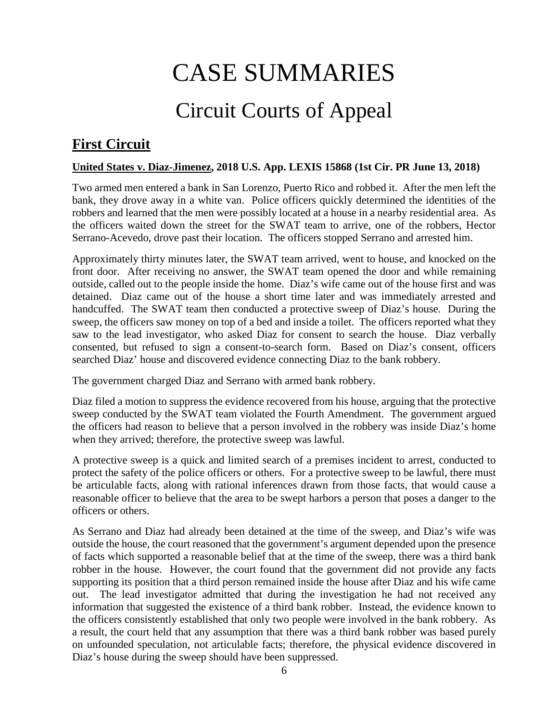# CASE SUMMARIES

# Circuit Courts of Appeal

## <span id="page-5-1"></span><span id="page-5-0"></span>**First Circuit**

#### <span id="page-5-2"></span>**United States v. Diaz-Jimenez, 2018 U.S. App. LEXIS 15868 (1st Cir. PR June 13, 2018)**

Two armed men entered a bank in San Lorenzo, Puerto Rico and robbed it. After the men left the bank, they drove away in a white van. Police officers quickly determined the identities of the robbers and learned that the men were possibly located at a house in a nearby residential area. As the officers waited down the street for the SWAT team to arrive, one of the robbers, Hector Serrano-Acevedo, drove past their location. The officers stopped Serrano and arrested him.

Approximately thirty minutes later, the SWAT team arrived, went to house, and knocked on the front door. After receiving no answer, the SWAT team opened the door and while remaining outside, called out to the people inside the home. Diaz's wife came out of the house first and was detained. Diaz came out of the house a short time later and was immediately arrested and handcuffed. The SWAT team then conducted a protective sweep of Diaz's house. During the sweep, the officers saw money on top of a bed and inside a toilet. The officers reported what they saw to the lead investigator, who asked Diaz for consent to search the house. Diaz verbally consented, but refused to sign a consent-to-search form. Based on Diaz's consent, officers searched Diaz' house and discovered evidence connecting Diaz to the bank robbery.

The government charged Diaz and Serrano with armed bank robbery.

Diaz filed a motion to suppress the evidence recovered from his house, arguing that the protective sweep conducted by the SWAT team violated the Fourth Amendment. The government argued the officers had reason to believe that a person involved in the robbery was inside Diaz's home when they arrived; therefore, the protective sweep was lawful.

A protective sweep is a quick and limited search of a premises incident to arrest, conducted to protect the safety of the police officers or others. For a protective sweep to be lawful, there must be articulable facts, along with rational inferences drawn from those facts, that would cause a reasonable officer to believe that the area to be swept harbors a person that poses a danger to the officers or others.

As Serrano and Diaz had already been detained at the time of the sweep, and Diaz's wife was outside the house, the court reasoned that the government's argument depended upon the presence of facts which supported a reasonable belief that at the time of the sweep, there was a third bank robber in the house. However, the court found that the government did not provide any facts supporting its position that a third person remained inside the house after Diaz and his wife came out. The lead investigator admitted that during the investigation he had not received any information that suggested the existence of a third bank robber. Instead, the evidence known to the officers consistently established that only two people were involved in the bank robbery. As a result, the court held that any assumption that there was a third bank robber was based purely on unfounded speculation, not articulable facts; therefore, the physical evidence discovered in Diaz's house during the sweep should have been suppressed.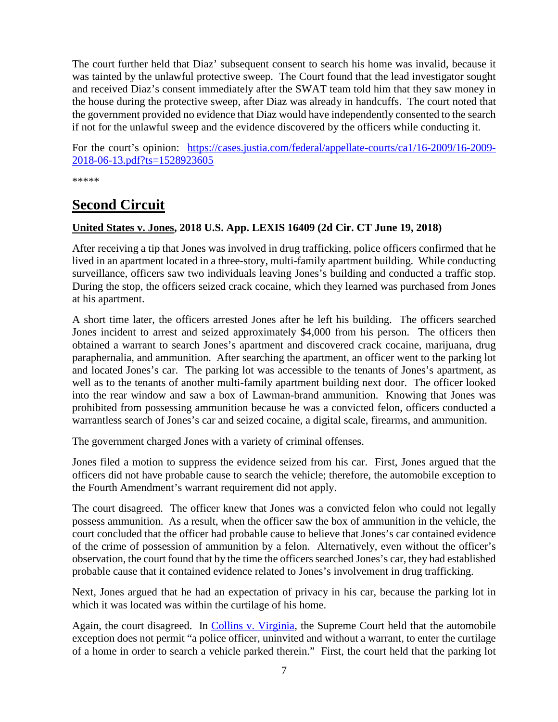The court further held that Diaz' subsequent consent to search his home was invalid, because it was tainted by the unlawful protective sweep. The Court found that the lead investigator sought and received Diaz's consent immediately after the SWAT team told him that they saw money in the house during the protective sweep, after Diaz was already in handcuffs. The court noted that the government provided no evidence that Diaz would have independently consented to the search if not for the unlawful sweep and the evidence discovered by the officers while conducting it.

For the court's opinion: [https://cases.justia.com/federal/appellate-courts/ca1/16-2009/16-2009-](https://cases.justia.com/federal/appellate-courts/ca1/16-2009/16-2009-2018-06-13.pdf?ts=1528923605) [2018-06-13.pdf?ts=1528923605](https://cases.justia.com/federal/appellate-courts/ca1/16-2009/16-2009-2018-06-13.pdf?ts=1528923605)

\*\*\*\*\*

#### <span id="page-6-0"></span>**Second Circuit**

#### <span id="page-6-1"></span>**United States v. Jones, 2018 U.S. App. LEXIS 16409 (2d Cir. CT June 19, 2018)**

After receiving a tip that Jones was involved in drug trafficking, police officers confirmed that he lived in an apartment located in a three-story, multi-family apartment building. While conducting surveillance, officers saw two individuals leaving Jones's building and conducted a traffic stop. During the stop, the officers seized crack cocaine, which they learned was purchased from Jones at his apartment.

A short time later, the officers arrested Jones after he left his building. The officers searched Jones incident to arrest and seized approximately \$4,000 from his person. The officers then obtained a warrant to search Jones's apartment and discovered crack cocaine, marijuana, drug paraphernalia, and ammunition. After searching the apartment, an officer went to the parking lot and located Jones's car. The parking lot was accessible to the tenants of Jones's apartment, as well as to the tenants of another multi-family apartment building next door. The officer looked into the rear window and saw a box of Lawman-brand ammunition. Knowing that Jones was prohibited from possessing ammunition because he was a convicted felon, officers conducted a warrantless search of Jones's car and seized cocaine, a digital scale, firearms, and ammunition.

The government charged Jones with a variety of criminal offenses.

Jones filed a motion to suppress the evidence seized from his car. First, Jones argued that the officers did not have probable cause to search the vehicle; therefore, the automobile exception to the Fourth Amendment's warrant requirement did not apply.

The court disagreed. The officer knew that Jones was a convicted felon who could not legally possess ammunition. As a result, when the officer saw the box of ammunition in the vehicle, the court concluded that the officer had probable cause to believe that Jones's car contained evidence of the crime of possession of ammunition by a felon. Alternatively, even without the officer's observation, the court found that by the time the officers searched Jones's car, they had established probable cause that it contained evidence related to Jones's involvement in drug trafficking.

Next, Jones argued that he had an expectation of privacy in his car, because the parking lot in which it was located was within the curtilage of his home.

Again, the court disagreed. In [Collins v. Virginia,](https://www.supremecourt.gov/opinions/17pdf/16-1027_7lio.pdf) the Supreme Court held that the automobile exception does not permit "a police officer, uninvited and without a warrant, to enter the curtilage of a home in order to search a vehicle parked therein." First, the court held that the parking lot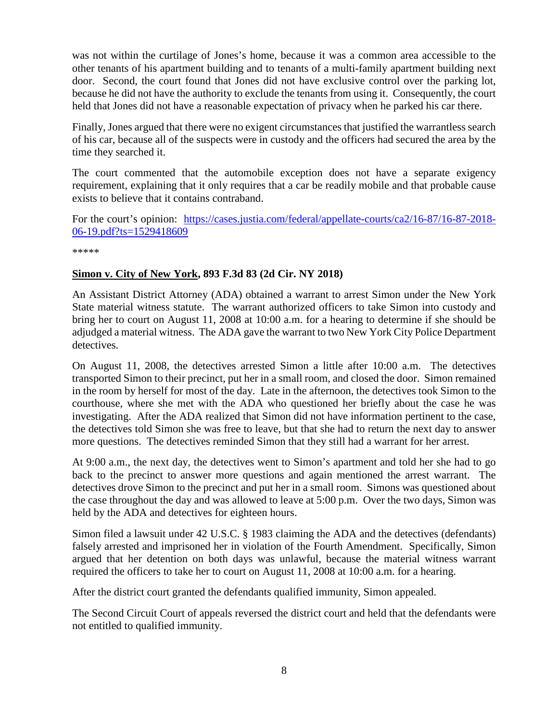was not within the curtilage of Jones's home, because it was a common area accessible to the other tenants of his apartment building and to tenants of a multi-family apartment building next door. Second, the court found that Jones did not have exclusive control over the parking lot, because he did not have the authority to exclude the tenants from using it. Consequently, the court held that Jones did not have a reasonable expectation of privacy when he parked his car there.

Finally, Jones argued that there were no exigent circumstances that justified the warrantless search of his car, because all of the suspects were in custody and the officers had secured the area by the time they searched it.

The court commented that the automobile exception does not have a separate exigency requirement, explaining that it only requires that a car be readily mobile and that probable cause exists to believe that it contains contraband.

For the court's opinion: [https://cases.justia.com/federal/appellate-courts/ca2/16-87/16-87-2018-](https://cases.justia.com/federal/appellate-courts/ca2/16-87/16-87-2018-06-19.pdf?ts=1529418609) [06-19.pdf?ts=1529418609](https://cases.justia.com/federal/appellate-courts/ca2/16-87/16-87-2018-06-19.pdf?ts=1529418609)

\*\*\*\*\*

#### <span id="page-7-0"></span>**Simon v. City of New York, 893 F.3d 83 (2d Cir. NY 2018)**

An Assistant District Attorney (ADA) obtained a warrant to arrest Simon under the New York State material witness statute. The warrant authorized officers to take Simon into custody and bring her to court on August 11, 2008 at 10:00 a.m. for a hearing to determine if she should be adjudged a material witness. The ADA gave the warrant to two New York City Police Department detectives.

On August 11, 2008, the detectives arrested Simon a little after 10:00 a.m. The detectives transported Simon to their precinct, put her in a small room, and closed the door. Simon remained in the room by herself for most of the day. Late in the afternoon, the detectives took Simon to the courthouse, where she met with the ADA who questioned her briefly about the case he was investigating. After the ADA realized that Simon did not have information pertinent to the case, the detectives told Simon she was free to leave, but that she had to return the next day to answer more questions. The detectives reminded Simon that they still had a warrant for her arrest.

At 9:00 a.m., the next day, the detectives went to Simon's apartment and told her she had to go back to the precinct to answer more questions and again mentioned the arrest warrant. The detectives drove Simon to the precinct and put her in a small room. Simons was questioned about the case throughout the day and was allowed to leave at 5:00 p.m. Over the two days, Simon was held by the ADA and detectives for eighteen hours.

Simon filed a lawsuit under 42 U.S.C. § 1983 claiming the ADA and the detectives (defendants) falsely arrested and imprisoned her in violation of the Fourth Amendment. Specifically, Simon argued that her detention on both days was unlawful, because the material witness warrant required the officers to take her to court on August 11, 2008 at 10:00 a.m. for a hearing.

After the district court granted the defendants qualified immunity, Simon appealed.

The Second Circuit Court of appeals reversed the district court and held that the defendants were not entitled to qualified immunity.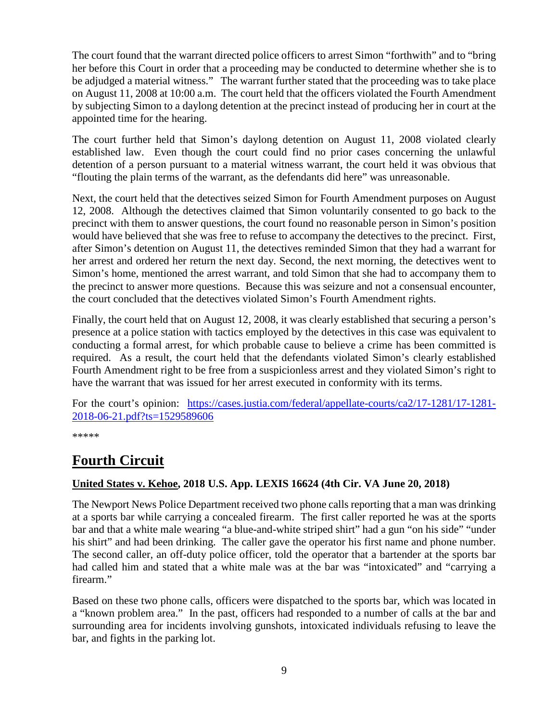The court found that the warrant directed police officers to arrest Simon "forthwith" and to "bring her before this Court in order that a proceeding may be conducted to determine whether she is to be adjudged a material witness." The warrant further stated that the proceeding was to take place on August 11, 2008 at 10:00 a.m. The court held that the officers violated the Fourth Amendment by subjecting Simon to a daylong detention at the precinct instead of producing her in court at the appointed time for the hearing.

The court further held that Simon's daylong detention on August 11, 2008 violated clearly established law. Even though the court could find no prior cases concerning the unlawful detention of a person pursuant to a material witness warrant, the court held it was obvious that "flouting the plain terms of the warrant, as the defendants did here" was unreasonable.

Next, the court held that the detectives seized Simon for Fourth Amendment purposes on August 12, 2008. Although the detectives claimed that Simon voluntarily consented to go back to the precinct with them to answer questions, the court found no reasonable person in Simon's position would have believed that she was free to refuse to accompany the detectives to the precinct. First, after Simon's detention on August 11, the detectives reminded Simon that they had a warrant for her arrest and ordered her return the next day. Second, the next morning, the detectives went to Simon's home, mentioned the arrest warrant, and told Simon that she had to accompany them to the precinct to answer more questions. Because this was seizure and not a consensual encounter, the court concluded that the detectives violated Simon's Fourth Amendment rights.

Finally, the court held that on August 12, 2008, it was clearly established that securing a person's presence at a police station with tactics employed by the detectives in this case was equivalent to conducting a formal arrest, for which probable cause to believe a crime has been committed is required. As a result, the court held that the defendants violated Simon's clearly established Fourth Amendment right to be free from a suspicionless arrest and they violated Simon's right to have the warrant that was issued for her arrest executed in conformity with its terms.

For the court's opinion: [https://cases.justia.com/federal/appellate-courts/ca2/17-1281/17-1281-](https://cases.justia.com/federal/appellate-courts/ca2/17-1281/17-1281-2018-06-21.pdf?ts=1529589606) [2018-06-21.pdf?ts=1529589606](https://cases.justia.com/federal/appellate-courts/ca2/17-1281/17-1281-2018-06-21.pdf?ts=1529589606)

\*\*\*\*\*

#### <span id="page-8-0"></span>**Fourth Circuit**

#### <span id="page-8-1"></span>**United States v. Kehoe, 2018 U.S. App. LEXIS 16624 (4th Cir. VA June 20, 2018)**

The Newport News Police Department received two phone calls reporting that a man was drinking at a sports bar while carrying a concealed firearm. The first caller reported he was at the sports bar and that a white male wearing "a blue-and-white striped shirt" had a gun "on his side" "under his shirt" and had been drinking. The caller gave the operator his first name and phone number. The second caller, an off-duty police officer, told the operator that a bartender at the sports bar had called him and stated that a white male was at the bar was "intoxicated" and "carrying a firearm."

Based on these two phone calls, officers were dispatched to the sports bar, which was located in a "known problem area." In the past, officers had responded to a number of calls at the bar and surrounding area for incidents involving gunshots, intoxicated individuals refusing to leave the bar, and fights in the parking lot.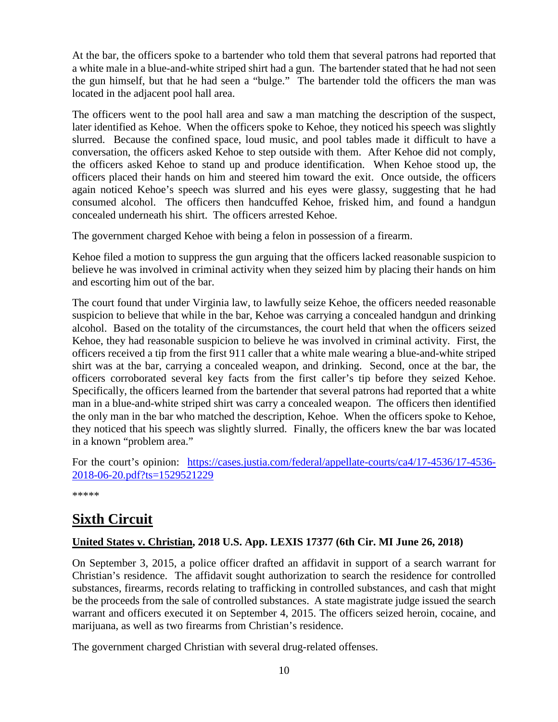At the bar, the officers spoke to a bartender who told them that several patrons had reported that a white male in a blue-and-white striped shirt had a gun. The bartender stated that he had not seen the gun himself, but that he had seen a "bulge." The bartender told the officers the man was located in the adjacent pool hall area.

The officers went to the pool hall area and saw a man matching the description of the suspect, later identified as Kehoe. When the officers spoke to Kehoe, they noticed his speech was slightly slurred. Because the confined space, loud music, and pool tables made it difficult to have a conversation, the officers asked Kehoe to step outside with them. After Kehoe did not comply, the officers asked Kehoe to stand up and produce identification. When Kehoe stood up, the officers placed their hands on him and steered him toward the exit. Once outside, the officers again noticed Kehoe's speech was slurred and his eyes were glassy, suggesting that he had consumed alcohol. The officers then handcuffed Kehoe, frisked him, and found a handgun concealed underneath his shirt. The officers arrested Kehoe.

The government charged Kehoe with being a felon in possession of a firearm.

Kehoe filed a motion to suppress the gun arguing that the officers lacked reasonable suspicion to believe he was involved in criminal activity when they seized him by placing their hands on him and escorting him out of the bar.

The court found that under Virginia law, to lawfully seize Kehoe, the officers needed reasonable suspicion to believe that while in the bar, Kehoe was carrying a concealed handgun and drinking alcohol. Based on the totality of the circumstances, the court held that when the officers seized Kehoe, they had reasonable suspicion to believe he was involved in criminal activity. First, the officers received a tip from the first 911 caller that a white male wearing a blue-and-white striped shirt was at the bar, carrying a concealed weapon, and drinking. Second, once at the bar, the officers corroborated several key facts from the first caller's tip before they seized Kehoe. Specifically, the officers learned from the bartender that several patrons had reported that a white man in a blue-and-white striped shirt was carry a concealed weapon. The officers then identified the only man in the bar who matched the description, Kehoe. When the officers spoke to Kehoe, they noticed that his speech was slightly slurred. Finally, the officers knew the bar was located in a known "problem area."

For the court's opinion: [https://cases.justia.com/federal/appellate-courts/ca4/17-4536/17-4536-](https://cases.justia.com/federal/appellate-courts/ca4/17-4536/17-4536-2018-06-20.pdf?ts=1529521229) [2018-06-20.pdf?ts=1529521229](https://cases.justia.com/federal/appellate-courts/ca4/17-4536/17-4536-2018-06-20.pdf?ts=1529521229)

\*\*\*\*\*

#### <span id="page-9-0"></span>**Sixth Circuit**

#### <span id="page-9-1"></span>**United States v. Christian, 2018 U.S. App. LEXIS 17377 (6th Cir. MI June 26, 2018)**

On September 3, 2015, a police officer drafted an affidavit in support of a search warrant for Christian's residence. The affidavit sought authorization to search the residence for controlled substances, firearms, records relating to trafficking in controlled substances, and cash that might be the proceeds from the sale of controlled substances. A state magistrate judge issued the search warrant and officers executed it on September 4, 2015. The officers seized heroin, cocaine, and marijuana, as well as two firearms from Christian's residence.

The government charged Christian with several drug-related offenses.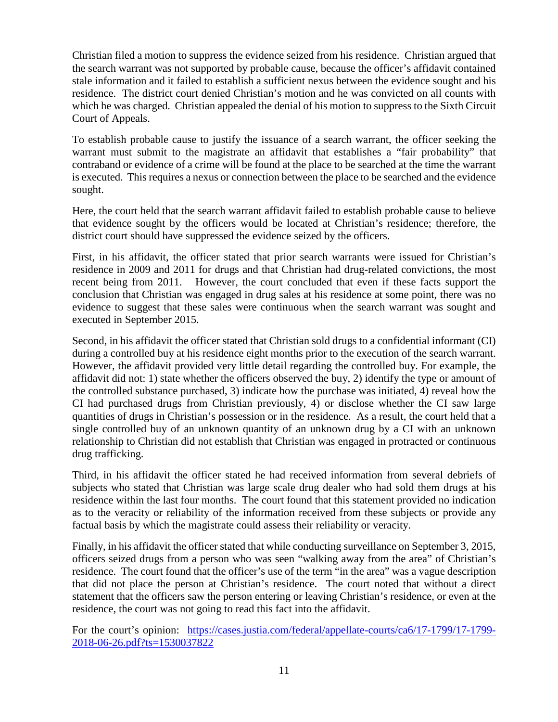Christian filed a motion to suppress the evidence seized from his residence. Christian argued that the search warrant was not supported by probable cause, because the officer's affidavit contained stale information and it failed to establish a sufficient nexus between the evidence sought and his residence. The district court denied Christian's motion and he was convicted on all counts with which he was charged. Christian appealed the denial of his motion to suppress to the Sixth Circuit Court of Appeals.

To establish probable cause to justify the issuance of a search warrant, the officer seeking the warrant must submit to the magistrate an affidavit that establishes a "fair probability" that contraband or evidence of a crime will be found at the place to be searched at the time the warrant is executed. This requires a nexus or connection between the place to be searched and the evidence sought.

Here, the court held that the search warrant affidavit failed to establish probable cause to believe that evidence sought by the officers would be located at Christian's residence; therefore, the district court should have suppressed the evidence seized by the officers.

First, in his affidavit, the officer stated that prior search warrants were issued for Christian's residence in 2009 and 2011 for drugs and that Christian had drug-related convictions, the most recent being from 2011. However, the court concluded that even if these facts support the conclusion that Christian was engaged in drug sales at his residence at some point, there was no evidence to suggest that these sales were continuous when the search warrant was sought and executed in September 2015.

Second, in his affidavit the officer stated that Christian sold drugs to a confidential informant (CI) during a controlled buy at his residence eight months prior to the execution of the search warrant. However, the affidavit provided very little detail regarding the controlled buy. For example, the affidavit did not: 1) state whether the officers observed the buy, 2) identify the type or amount of the controlled substance purchased, 3) indicate how the purchase was initiated, 4) reveal how the CI had purchased drugs from Christian previously, 4) or disclose whether the CI saw large quantities of drugs in Christian's possession or in the residence. As a result, the court held that a single controlled buy of an unknown quantity of an unknown drug by a CI with an unknown relationship to Christian did not establish that Christian was engaged in protracted or continuous drug trafficking.

Third, in his affidavit the officer stated he had received information from several debriefs of subjects who stated that Christian was large scale drug dealer who had sold them drugs at his residence within the last four months. The court found that this statement provided no indication as to the veracity or reliability of the information received from these subjects or provide any factual basis by which the magistrate could assess their reliability or veracity.

Finally, in his affidavit the officer stated that while conducting surveillance on September 3, 2015, officers seized drugs from a person who was seen "walking away from the area" of Christian's residence. The court found that the officer's use of the term "in the area" was a vague description that did not place the person at Christian's residence. The court noted that without a direct statement that the officers saw the person entering or leaving Christian's residence, or even at the residence, the court was not going to read this fact into the affidavit.

For the court's opinion: [https://cases.justia.com/federal/appellate-courts/ca6/17-1799/17-1799-](https://cases.justia.com/federal/appellate-courts/ca6/17-1799/17-1799-2018-06-26.pdf?ts=1530037822) [2018-06-26.pdf?ts=1530037822](https://cases.justia.com/federal/appellate-courts/ca6/17-1799/17-1799-2018-06-26.pdf?ts=1530037822)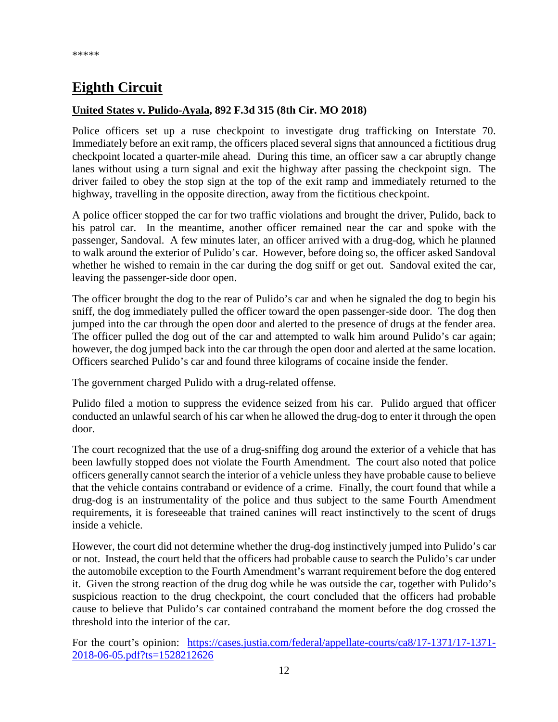### <span id="page-11-0"></span>**Eighth Circuit**

#### <span id="page-11-1"></span>**United States v. Pulido-Ayala, 892 F.3d 315 (8th Cir. MO 2018)**

Police officers set up a ruse checkpoint to investigate drug trafficking on Interstate 70. Immediately before an exit ramp, the officers placed several signs that announced a fictitious drug checkpoint located a quarter-mile ahead. During this time, an officer saw a car abruptly change lanes without using a turn signal and exit the highway after passing the checkpoint sign. The driver failed to obey the stop sign at the top of the exit ramp and immediately returned to the highway, travelling in the opposite direction, away from the fictitious checkpoint.

A police officer stopped the car for two traffic violations and brought the driver, Pulido, back to his patrol car. In the meantime, another officer remained near the car and spoke with the passenger, Sandoval. A few minutes later, an officer arrived with a drug-dog, which he planned to walk around the exterior of Pulido's car. However, before doing so, the officer asked Sandoval whether he wished to remain in the car during the dog sniff or get out. Sandoval exited the car, leaving the passenger-side door open.

The officer brought the dog to the rear of Pulido's car and when he signaled the dog to begin his sniff, the dog immediately pulled the officer toward the open passenger-side door. The dog then jumped into the car through the open door and alerted to the presence of drugs at the fender area. The officer pulled the dog out of the car and attempted to walk him around Pulido's car again; however, the dog jumped back into the car through the open door and alerted at the same location. Officers searched Pulido's car and found three kilograms of cocaine inside the fender.

The government charged Pulido with a drug-related offense.

Pulido filed a motion to suppress the evidence seized from his car. Pulido argued that officer conducted an unlawful search of his car when he allowed the drug-dog to enter it through the open door.

The court recognized that the use of a drug-sniffing dog around the exterior of a vehicle that has been lawfully stopped does not violate the Fourth Amendment. The court also noted that police officers generally cannot search the interior of a vehicle unless they have probable cause to believe that the vehicle contains contraband or evidence of a crime. Finally, the court found that while a drug-dog is an instrumentality of the police and thus subject to the same Fourth Amendment requirements, it is foreseeable that trained canines will react instinctively to the scent of drugs inside a vehicle.

However, the court did not determine whether the drug-dog instinctively jumped into Pulido's car or not. Instead, the court held that the officers had probable cause to search the Pulido's car under the automobile exception to the Fourth Amendment's warrant requirement before the dog entered it. Given the strong reaction of the drug dog while he was outside the car, together with Pulido's suspicious reaction to the drug checkpoint, the court concluded that the officers had probable cause to believe that Pulido's car contained contraband the moment before the dog crossed the threshold into the interior of the car.

For the court's opinion: [https://cases.justia.com/federal/appellate-courts/ca8/17-1371/17-1371-](https://cases.justia.com/federal/appellate-courts/ca8/17-1371/17-1371-2018-06-05.pdf?ts=1528212626) [2018-06-05.pdf?ts=1528212626](https://cases.justia.com/federal/appellate-courts/ca8/17-1371/17-1371-2018-06-05.pdf?ts=1528212626)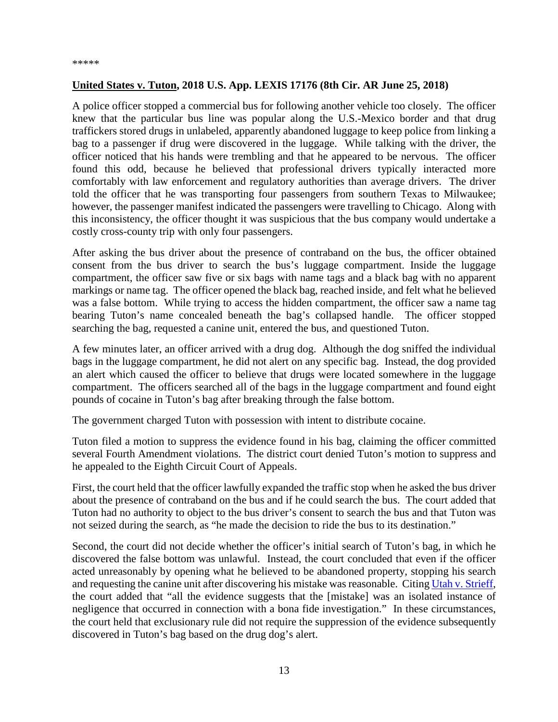#### <span id="page-12-0"></span>**United States v. Tuton, 2018 U.S. App. LEXIS 17176 (8th Cir. AR June 25, 2018)**

A police officer stopped a commercial bus for following another vehicle too closely. The officer knew that the particular bus line was popular along the U.S.-Mexico border and that drug traffickers stored drugs in unlabeled, apparently abandoned luggage to keep police from linking a bag to a passenger if drug were discovered in the luggage. While talking with the driver, the officer noticed that his hands were trembling and that he appeared to be nervous. The officer found this odd, because he believed that professional drivers typically interacted more comfortably with law enforcement and regulatory authorities than average drivers. The driver told the officer that he was transporting four passengers from southern Texas to Milwaukee; however, the passenger manifest indicated the passengers were travelling to Chicago. Along with this inconsistency, the officer thought it was suspicious that the bus company would undertake a costly cross-county trip with only four passengers.

After asking the bus driver about the presence of contraband on the bus, the officer obtained consent from the bus driver to search the bus's luggage compartment. Inside the luggage compartment, the officer saw five or six bags with name tags and a black bag with no apparent markings or name tag. The officer opened the black bag, reached inside, and felt what he believed was a false bottom. While trying to access the hidden compartment, the officer saw a name tag bearing Tuton's name concealed beneath the bag's collapsed handle. The officer stopped searching the bag, requested a canine unit, entered the bus, and questioned Tuton.

A few minutes later, an officer arrived with a drug dog. Although the dog sniffed the individual bags in the luggage compartment, he did not alert on any specific bag. Instead, the dog provided an alert which caused the officer to believe that drugs were located somewhere in the luggage compartment. The officers searched all of the bags in the luggage compartment and found eight pounds of cocaine in Tuton's bag after breaking through the false bottom.

The government charged Tuton with possession with intent to distribute cocaine.

Tuton filed a motion to suppress the evidence found in his bag, claiming the officer committed several Fourth Amendment violations. The district court denied Tuton's motion to suppress and he appealed to the Eighth Circuit Court of Appeals.

First, the court held that the officer lawfully expanded the traffic stop when he asked the bus driver about the presence of contraband on the bus and if he could search the bus. The court added that Tuton had no authority to object to the bus driver's consent to search the bus and that Tuton was not seized during the search, as "he made the decision to ride the bus to its destination."

Second, the court did not decide whether the officer's initial search of Tuton's bag, in which he discovered the false bottom was unlawful. Instead, the court concluded that even if the officer acted unreasonably by opening what he believed to be abandoned property, stopping his search and requesting the canine unit after discovering his mistake was reasonable. Citin[g Utah v. Strieff,](https://www.supremecourt.gov/opinions/15pdf/14-1373_83i7.pdf) the court added that "all the evidence suggests that the [mistake] was an isolated instance of negligence that occurred in connection with a bona fide investigation." In these circumstances, the court held that exclusionary rule did not require the suppression of the evidence subsequently discovered in Tuton's bag based on the drug dog's alert.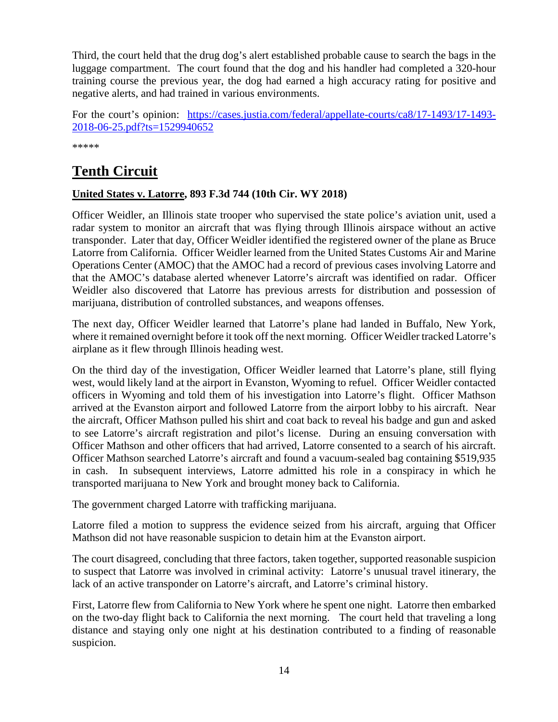Third, the court held that the drug dog's alert established probable cause to search the bags in the luggage compartment. The court found that the dog and his handler had completed a 320-hour training course the previous year, the dog had earned a high accuracy rating for positive and negative alerts, and had trained in various environments.

For the court's opinion: [https://cases.justia.com/federal/appellate-courts/ca8/17-1493/17-1493-](https://cases.justia.com/federal/appellate-courts/ca8/17-1493/17-1493-2018-06-25.pdf?ts=1529940652) [2018-06-25.pdf?ts=1529940652](https://cases.justia.com/federal/appellate-courts/ca8/17-1493/17-1493-2018-06-25.pdf?ts=1529940652)

\*\*\*\*\*

#### <span id="page-13-0"></span>**Tenth Circuit**

#### <span id="page-13-1"></span>**United States v. Latorre, 893 F.3d 744 (10th Cir. WY 2018)**

Officer Weidler, an Illinois state trooper who supervised the state police's aviation unit, used a radar system to monitor an aircraft that was flying through Illinois airspace without an active transponder. Later that day, Officer Weidler identified the registered owner of the plane as Bruce Latorre from California. Officer Weidler learned from the United States Customs Air and Marine Operations Center (AMOC) that the AMOC had a record of previous cases involving Latorre and that the AMOC's database alerted whenever Latorre's aircraft was identified on radar. Officer Weidler also discovered that Latorre has previous arrests for distribution and possession of marijuana, distribution of controlled substances, and weapons offenses.

The next day, Officer Weidler learned that Latorre's plane had landed in Buffalo, New York, where it remained overnight before it took off the next morning. Officer Weidler tracked Latorre's airplane as it flew through Illinois heading west.

On the third day of the investigation, Officer Weidler learned that Latorre's plane, still flying west, would likely land at the airport in Evanston, Wyoming to refuel. Officer Weidler contacted officers in Wyoming and told them of his investigation into Latorre's flight. Officer Mathson arrived at the Evanston airport and followed Latorre from the airport lobby to his aircraft. Near the aircraft, Officer Mathson pulled his shirt and coat back to reveal his badge and gun and asked to see Latorre's aircraft registration and pilot's license. During an ensuing conversation with Officer Mathson and other officers that had arrived, Latorre consented to a search of his aircraft. Officer Mathson searched Latorre's aircraft and found a vacuum-sealed bag containing \$519,935 in cash. In subsequent interviews, Latorre admitted his role in a conspiracy in which he transported marijuana to New York and brought money back to California.

The government charged Latorre with trafficking marijuana.

Latorre filed a motion to suppress the evidence seized from his aircraft, arguing that Officer Mathson did not have reasonable suspicion to detain him at the Evanston airport.

The court disagreed, concluding that three factors, taken together, supported reasonable suspicion to suspect that Latorre was involved in criminal activity: Latorre's unusual travel itinerary, the lack of an active transponder on Latorre's aircraft, and Latorre's criminal history.

First, Latorre flew from California to New York where he spent one night. Latorre then embarked on the two-day flight back to California the next morning. The court held that traveling a long distance and staying only one night at his destination contributed to a finding of reasonable suspicion.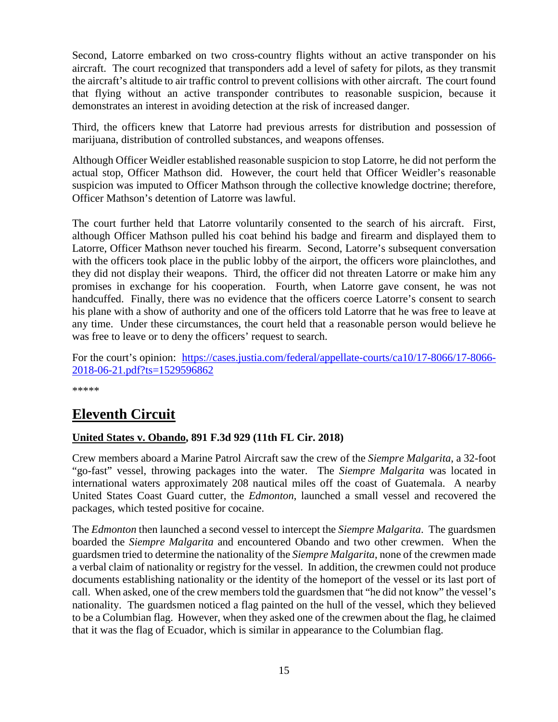Second, Latorre embarked on two cross-country flights without an active transponder on his aircraft. The court recognized that transponders add a level of safety for pilots, as they transmit the aircraft's altitude to air traffic control to prevent collisions with other aircraft. The court found that flying without an active transponder contributes to reasonable suspicion, because it demonstrates an interest in avoiding detection at the risk of increased danger.

Third, the officers knew that Latorre had previous arrests for distribution and possession of marijuana, distribution of controlled substances, and weapons offenses.

Although Officer Weidler established reasonable suspicion to stop Latorre, he did not perform the actual stop, Officer Mathson did. However, the court held that Officer Weidler's reasonable suspicion was imputed to Officer Mathson through the collective knowledge doctrine; therefore, Officer Mathson's detention of Latorre was lawful.

The court further held that Latorre voluntarily consented to the search of his aircraft. First, although Officer Mathson pulled his coat behind his badge and firearm and displayed them to Latorre, Officer Mathson never touched his firearm. Second, Latorre's subsequent conversation with the officers took place in the public lobby of the airport, the officers wore plainclothes, and they did not display their weapons. Third, the officer did not threaten Latorre or make him any promises in exchange for his cooperation. Fourth, when Latorre gave consent, he was not handcuffed. Finally, there was no evidence that the officers coerce Latorre's consent to search his plane with a show of authority and one of the officers told Latorre that he was free to leave at any time. Under these circumstances, the court held that a reasonable person would believe he was free to leave or to deny the officers' request to search.

For the court's opinion: [https://cases.justia.com/federal/appellate-courts/ca10/17-8066/17-8066-](https://cases.justia.com/federal/appellate-courts/ca10/17-8066/17-8066-2018-06-21.pdf?ts=1529596862) [2018-06-21.pdf?ts=1529596862](https://cases.justia.com/federal/appellate-courts/ca10/17-8066/17-8066-2018-06-21.pdf?ts=1529596862)

\*\*\*\*\*

#### <span id="page-14-0"></span>**Eleventh Circuit**

#### <span id="page-14-1"></span>**United States v. Obando, 891 F.3d 929 (11th FL Cir. 2018)**

Crew members aboard a Marine Patrol Aircraft saw the crew of the *Siempre Malgarita*, a 32-foot "go-fast" vessel, throwing packages into the water. The *Siempre Malgarita* was located in international waters approximately 208 nautical miles off the coast of Guatemala. A nearby United States Coast Guard cutter, the *Edmonton*, launched a small vessel and recovered the packages, which tested positive for cocaine.

The *Edmonton* then launched a second vessel to intercept the *Siempre Malgarita*. The guardsmen boarded the *Siempre Malgarita* and encountered Obando and two other crewmen. When the guardsmen tried to determine the nationality of the *Siempre Malgarita*, none of the crewmen made a verbal claim of nationality or registry for the vessel. In addition, the crewmen could not produce documents establishing nationality or the identity of the homeport of the vessel or its last port of call. When asked, one of the crew members told the guardsmen that "he did not know" the vessel's nationality. The guardsmen noticed a flag painted on the hull of the vessel, which they believed to be a Columbian flag. However, when they asked one of the crewmen about the flag, he claimed that it was the flag of Ecuador, which is similar in appearance to the Columbian flag.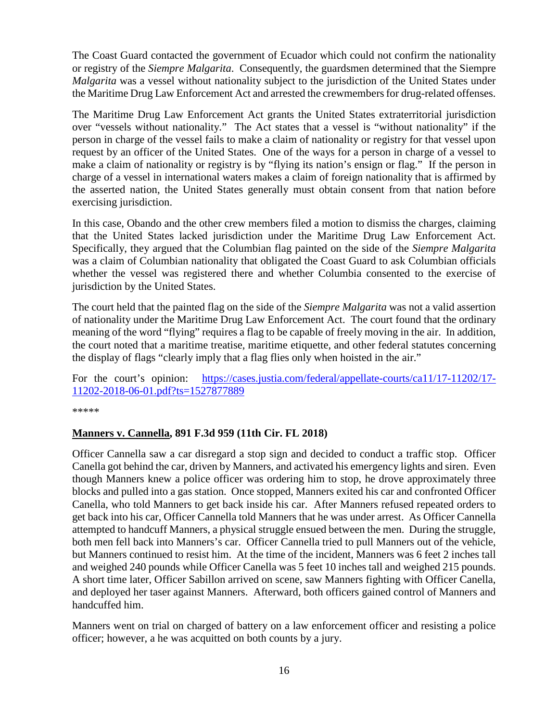The Coast Guard contacted the government of Ecuador which could not confirm the nationality or registry of the *Siempre Malgarita*. Consequently, the guardsmen determined that the Siempre *Malgarita* was a vessel without nationality subject to the jurisdiction of the United States under the Maritime Drug Law Enforcement Act and arrested the crewmembers for drug-related offenses.

The Maritime Drug Law Enforcement Act grants the United States extraterritorial jurisdiction over "vessels without nationality." The Act states that a vessel is "without nationality" if the person in charge of the vessel fails to make a claim of nationality or registry for that vessel upon request by an officer of the United States. One of the ways for a person in charge of a vessel to make a claim of nationality or registry is by "flying its nation's ensign or flag." If the person in charge of a vessel in international waters makes a claim of foreign nationality that is affirmed by the asserted nation, the United States generally must obtain consent from that nation before exercising jurisdiction.

In this case, Obando and the other crew members filed a motion to dismiss the charges, claiming that the United States lacked jurisdiction under the Maritime Drug Law Enforcement Act. Specifically, they argued that the Columbian flag painted on the side of the *Siempre Malgarita* was a claim of Columbian nationality that obligated the Coast Guard to ask Columbian officials whether the vessel was registered there and whether Columbia consented to the exercise of jurisdiction by the United States.

The court held that the painted flag on the side of the *Siempre Malgarita* was not a valid assertion of nationality under the Maritime Drug Law Enforcement Act. The court found that the ordinary meaning of the word "flying" requires a flag to be capable of freely moving in the air. In addition, the court noted that a maritime treatise, maritime etiquette, and other federal statutes concerning the display of flags "clearly imply that a flag flies only when hoisted in the air."

For the court's opinion: [https://cases.justia.com/federal/appellate-courts/ca11/17-11202/17-](https://cases.justia.com/federal/appellate-courts/ca11/17-11202/17-11202-2018-06-01.pdf?ts=1527877889) [11202-2018-06-01.pdf?ts=1527877889](https://cases.justia.com/federal/appellate-courts/ca11/17-11202/17-11202-2018-06-01.pdf?ts=1527877889)

\*\*\*\*\*

#### <span id="page-15-0"></span>**Manners v. Cannella, 891 F.3d 959 (11th Cir. FL 2018)**

Officer Cannella saw a car disregard a stop sign and decided to conduct a traffic stop. Officer Canella got behind the car, driven by Manners, and activated his emergency lights and siren. Even though Manners knew a police officer was ordering him to stop, he drove approximately three blocks and pulled into a gas station. Once stopped, Manners exited his car and confronted Officer Canella, who told Manners to get back inside his car. After Manners refused repeated orders to get back into his car, Officer Cannella told Manners that he was under arrest. As Officer Cannella attempted to handcuff Manners, a physical struggle ensued between the men. During the struggle, both men fell back into Manners's car. Officer Cannella tried to pull Manners out of the vehicle, but Manners continued to resist him. At the time of the incident, Manners was 6 feet 2 inches tall and weighed 240 pounds while Officer Canella was 5 feet 10 inches tall and weighed 215 pounds. A short time later, Officer Sabillon arrived on scene, saw Manners fighting with Officer Canella, and deployed her taser against Manners. Afterward, both officers gained control of Manners and handcuffed him.

Manners went on trial on charged of battery on a law enforcement officer and resisting a police officer; however, a he was acquitted on both counts by a jury.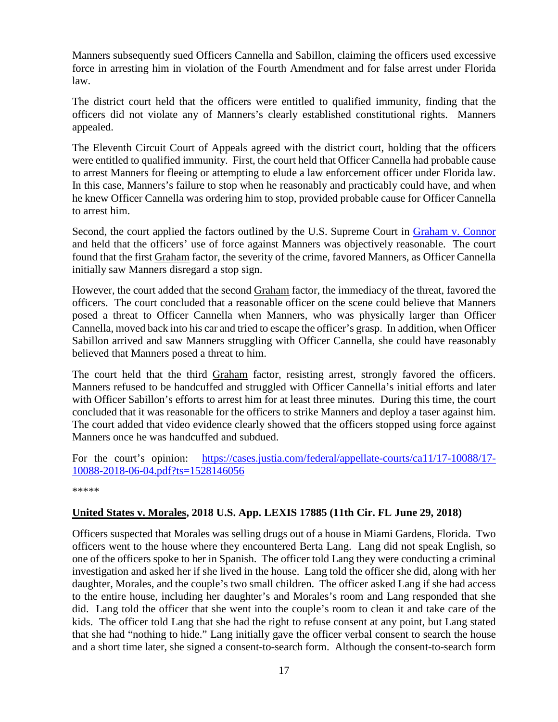Manners subsequently sued Officers Cannella and Sabillon, claiming the officers used excessive force in arresting him in violation of the Fourth Amendment and for false arrest under Florida law.

The district court held that the officers were entitled to qualified immunity, finding that the officers did not violate any of Manners's clearly established constitutional rights. Manners appealed.

The Eleventh Circuit Court of Appeals agreed with the district court, holding that the officers were entitled to qualified immunity. First, the court held that Officer Cannella had probable cause to arrest Manners for fleeing or attempting to elude a law enforcement officer under Florida law. In this case, Manners's failure to stop when he reasonably and practicably could have, and when he knew Officer Cannella was ordering him to stop, provided probable cause for Officer Cannella to arrest him.

Second, the court applied the factors outlined by the U.S. Supreme Court in [Graham v. Connor](https://supreme.justia.com/cases/federal/us/490/386/) and held that the officers' use of force against Manners was objectively reasonable. The court found that the first Graham factor, the severity of the crime, favored Manners, as Officer Cannella initially saw Manners disregard a stop sign.

However, the court added that the second Graham factor, the immediacy of the threat, favored the officers. The court concluded that a reasonable officer on the scene could believe that Manners posed a threat to Officer Cannella when Manners, who was physically larger than Officer Cannella, moved back into his car and tried to escape the officer's grasp. In addition, when Officer Sabillon arrived and saw Manners struggling with Officer Cannella, she could have reasonably believed that Manners posed a threat to him.

The court held that the third Graham factor, resisting arrest, strongly favored the officers. Manners refused to be handcuffed and struggled with Officer Cannella's initial efforts and later with Officer Sabillon's efforts to arrest him for at least three minutes. During this time, the court concluded that it was reasonable for the officers to strike Manners and deploy a taser against him. The court added that video evidence clearly showed that the officers stopped using force against Manners once he was handcuffed and subdued.

For the court's opinion: [https://cases.justia.com/federal/appellate-courts/ca11/17-10088/17-](https://cases.justia.com/federal/appellate-courts/ca11/17-10088/17-10088-2018-06-04.pdf?ts=1528146056) [10088-2018-06-04.pdf?ts=1528146056](https://cases.justia.com/federal/appellate-courts/ca11/17-10088/17-10088-2018-06-04.pdf?ts=1528146056)

\*\*\*\*\*

#### <span id="page-16-0"></span>**United States v. Morales, 2018 U.S. App. LEXIS 17885 (11th Cir. FL June 29, 2018)**

Officers suspected that Morales was selling drugs out of a house in Miami Gardens, Florida. Two officers went to the house where they encountered Berta Lang. Lang did not speak English, so one of the officers spoke to her in Spanish. The officer told Lang they were conducting a criminal investigation and asked her if she lived in the house. Lang told the officer she did, along with her daughter, Morales, and the couple's two small children. The officer asked Lang if she had access to the entire house, including her daughter's and Morales's room and Lang responded that she did. Lang told the officer that she went into the couple's room to clean it and take care of the kids. The officer told Lang that she had the right to refuse consent at any point, but Lang stated that she had "nothing to hide." Lang initially gave the officer verbal consent to search the house and a short time later, she signed a consent-to-search form. Although the consent-to-search form